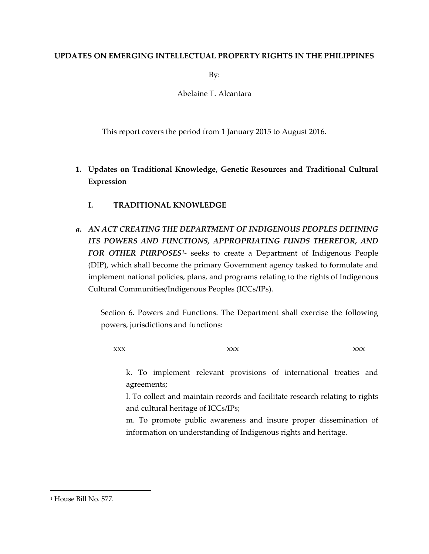## **UPDATES ON EMERGING INTELLECTUAL PROPERTY RIGHTS IN THE PHILIPPINES**

By:

Abelaine T. Alcantara

This report covers the period from 1 January 2015 to August 2016.

- **1. Updates on Traditional Knowledge, Genetic Resources and Traditional Cultural Expression**
	- **I. TRADITIONAL KNOWLEDGE**
- *a. AN ACT CREATING THE DEPARTMENT OF INDIGENOUS PEOPLES DEFINING ITS POWERS AND FUNCTIONS, APPROPRIATING FUNDS THEREFOR, AND FOR OTHER PURPOSES[1](#page-0-0)*- seeks to create a Department of Indigenous People (DIP), which shall become the primary Government agency tasked to formulate and implement national policies, plans, and programs relating to the rights of Indigenous Cultural Communities/Indigenous Peoples (ICCs/IPs).

Section 6. Powers and Functions. The Department shall exercise the following powers, jurisdictions and functions:

xxx xxx xxx xxx xxx

k. To implement relevant provisions of international treaties and agreements;

l. To collect and maintain records and facilitate research relating to rights and cultural heritage of ICCs/IPs;

m. To promote public awareness and insure proper dissemination of information on understanding of Indigenous rights and heritage.

<span id="page-0-0"></span><sup>&</sup>lt;sup>1</sup> House Bill No. 577.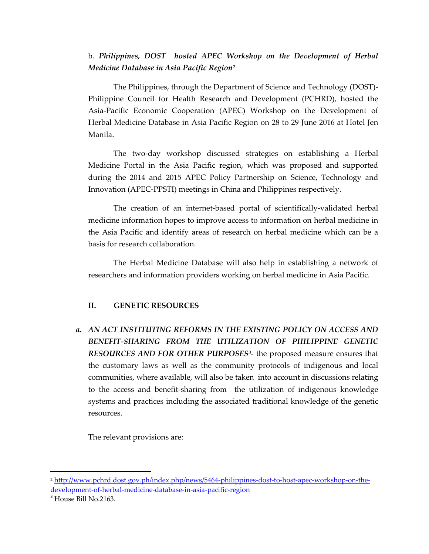# b. *Philippines, DOST hosted APEC Workshop on the Development of Herbal Medicine Database in Asia Pacific Region[2](#page-1-0)*

The Philippines, through the Department of Science and Technology (DOST)- Philippine Council for Health Research and Development (PCHRD), hosted the Asia-Pacific Economic Cooperation (APEC) Workshop on the Development of Herbal Medicine Database in Asia Pacific Region on 28 to 29 June 2016 at Hotel Jen Manila.

The two-day workshop discussed strategies on establishing a Herbal Medicine Portal in the Asia Pacific region, which was proposed and supported during the 2014 and 2015 APEC Policy Partnership on Science, Technology and Innovation (APEC-PPSTI) meetings in China and Philippines respectively.

The creation of an internet-based portal of scientifically-validated herbal medicine information hopes to improve access to information on herbal medicine in the Asia Pacific and identify areas of research on herbal medicine which can be a basis for research collaboration.

The Herbal Medicine Database will also help in establishing a network of researchers and information providers working on herbal medicine in Asia Pacific.

## **II. GENETIC RESOURCES**

*a. AN ACT INSTITUTING REFORMS IN THE EXISTING POLICY ON ACCESS AND BENEFIT-SHARING FROM THE UTILIZATION OF PHILIPPINE GENETIC RESOURCES AND FOR OTHER PURPOSES[3](#page-1-1)*- the proposed measure ensures that the customary laws as well as the community protocols of indigenous and local communities, where available, will also be taken into account in discussions relating to the access and benefit-sharing from the utilization of indigenous knowledge systems and practices including the associated traditional knowledge of the genetic resources.

The relevant provisions are:

<span id="page-1-0"></span><sup>2</sup> [http://www.pchrd.dost.gov.ph/index.php/news/5464-philippines-dost-to-host-apec-workshop-on-the](http://www.pchrd.dost.gov.ph/index.php/news/5464-philippines-dost-to-host-apec-workshop-on-the-development-of-herbal-medicine-database-in-asia-pacific-region)[development-of-herbal-medicine-database-in-asia-pacific-region](http://www.pchrd.dost.gov.ph/index.php/news/5464-philippines-dost-to-host-apec-workshop-on-the-development-of-herbal-medicine-database-in-asia-pacific-region)

<span id="page-1-1"></span><sup>&</sup>lt;sup>3</sup> House Bill No.2163.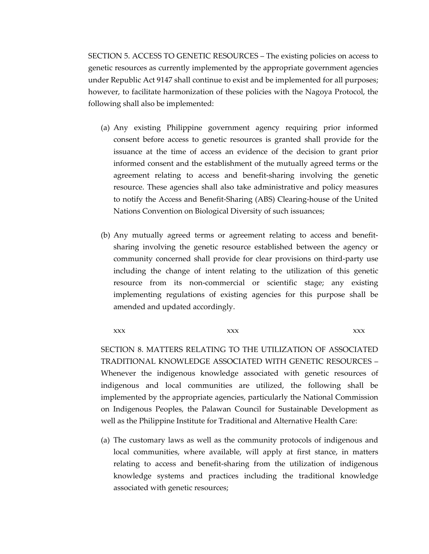SECTION 5. ACCESS TO GENETIC RESOURCES – The existing policies on access to genetic resources as currently implemented by the appropriate government agencies under Republic Act 9147 shall continue to exist and be implemented for all purposes; however, to facilitate harmonization of these policies with the Nagoya Protocol, the following shall also be implemented:

- (a) Any existing Philippine government agency requiring prior informed consent before access to genetic resources is granted shall provide for the issuance at the time of access an evidence of the decision to grant prior informed consent and the establishment of the mutually agreed terms or the agreement relating to access and benefit-sharing involving the genetic resource. These agencies shall also take administrative and policy measures to notify the Access and Benefit-Sharing (ABS) Clearing-house of the United Nations Convention on Biological Diversity of such issuances;
- (b) Any mutually agreed terms or agreement relating to access and benefitsharing involving the genetic resource established between the agency or community concerned shall provide for clear provisions on third-party use including the change of intent relating to the utilization of this genetic resource from its non-commercial or scientific stage; any existing implementing regulations of existing agencies for this purpose shall be amended and updated accordingly.

xxx xxx xxx xxx xxx

SECTION 8. MATTERS RELATING TO THE UTILIZATION OF ASSOCIATED TRADITIONAL KNOWLEDGE ASSOCIATED WITH GENETIC RESOURCES – Whenever the indigenous knowledge associated with genetic resources of indigenous and local communities are utilized, the following shall be implemented by the appropriate agencies, particularly the National Commission on Indigenous Peoples, the Palawan Council for Sustainable Development as well as the Philippine Institute for Traditional and Alternative Health Care:

(a) The customary laws as well as the community protocols of indigenous and local communities, where available, will apply at first stance, in matters relating to access and benefit-sharing from the utilization of indigenous knowledge systems and practices including the traditional knowledge associated with genetic resources;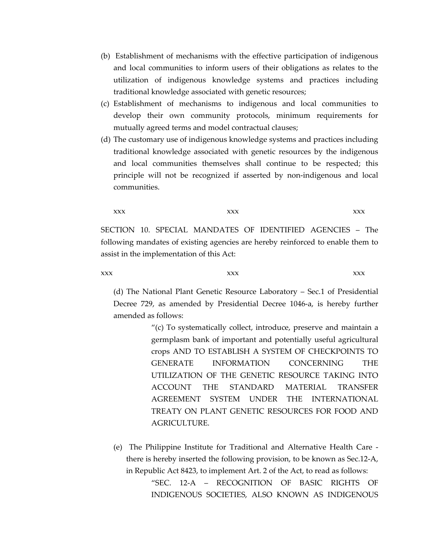- (b) Establishment of mechanisms with the effective participation of indigenous and local communities to inform users of their obligations as relates to the utilization of indigenous knowledge systems and practices including traditional knowledge associated with genetic resources;
- (c) Establishment of mechanisms to indigenous and local communities to develop their own community protocols, minimum requirements for mutually agreed terms and model contractual clauses;
- (d) The customary use of indigenous knowledge systems and practices including traditional knowledge associated with genetic resources by the indigenous and local communities themselves shall continue to be respected; this principle will not be recognized if asserted by non-indigenous and local communities.

xxx xxx xxx xxx xxx

SECTION 10. SPECIAL MANDATES OF IDENTIFIED AGENCIES – The following mandates of existing agencies are hereby reinforced to enable them to assist in the implementation of this Act:

xxx xxx xxx xxx xxx

(d) The National Plant Genetic Resource Laboratory – Sec.1 of Presidential Decree 729, as amended by Presidential Decree 1046-a, is hereby further amended as follows:

> "(c) To systematically collect, introduce, preserve and maintain a germplasm bank of important and potentially useful agricultural crops AND TO ESTABLISH A SYSTEM OF CHECKPOINTS TO GENERATE INFORMATION CONCERNING THE UTILIZATION OF THE GENETIC RESOURCE TAKING INTO ACCOUNT THE STANDARD MATERIAL TRANSFER AGREEMENT SYSTEM UNDER THE INTERNATIONAL TREATY ON PLANT GENETIC RESOURCES FOR FOOD AND AGRICULTURE.

(e) The Philippine Institute for Traditional and Alternative Health Care there is hereby inserted the following provision, to be known as Sec.12-A, in Republic Act 8423, to implement Art. 2 of the Act, to read as follows: "SEC. 12-A – RECOGNITION OF BASIC RIGHTS OF INDIGENOUS SOCIETIES, ALSO KNOWN AS INDIGENOUS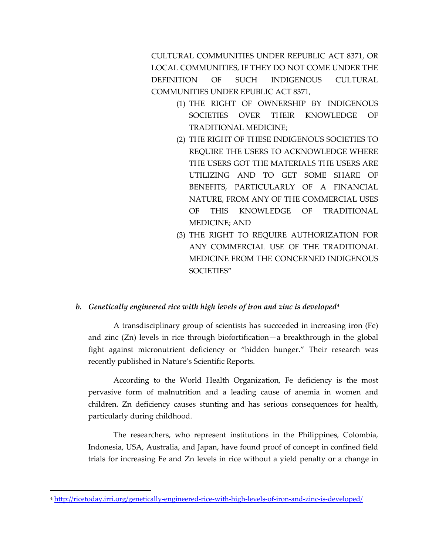CULTURAL COMMUNITIES UNDER REPUBLIC ACT 8371, OR LOCAL COMMUNITIES, IF THEY DO NOT COME UNDER THE DEFINITION OF SUCH INDIGENOUS CULTURAL COMMUNITIES UNDER EPUBLIC ACT 8371,

- (1) THE RIGHT OF OWNERSHIP BY INDIGENOUS SOCIETIES OVER THEIR KNOWLEDGE OF TRADITIONAL MEDICINE;
- (2) THE RIGHT OF THESE INDIGENOUS SOCIETIES TO REQUIRE THE USERS TO ACKNOWLEDGE WHERE THE USERS GOT THE MATERIALS THE USERS ARE UTILIZING AND TO GET SOME SHARE OF BENEFITS, PARTICULARLY OF A FINANCIAL NATURE, FROM ANY OF THE COMMERCIAL USES OF THIS KNOWLEDGE OF TRADITIONAL MEDICINE; AND
- (3) THE RIGHT TO REQUIRE AUTHORIZATION FOR ANY COMMERCIAL USE OF THE TRADITIONAL MEDICINE FROM THE CONCERNED INDIGENOUS SOCIETIES"

## *b. Genetically engineered rice with high levels of iron and zinc is developed[4](#page-4-0)*

A transdisciplinary group of scientists has succeeded in increasing iron (Fe) and zinc (Zn) levels in rice through biofortification—a breakthrough in the global fight against micronutrient deficiency or "hidden hunger." Their research was recently published in Nature's Scientific Reports.

According to the World Health Organization, Fe deficiency is the most pervasive form of malnutrition and a leading cause of anemia in women and children. Zn deficiency causes stunting and has serious consequences for health, particularly during childhood.

The researchers, who represent institutions in the Philippines, Colombia, Indonesia, USA, Australia, and Japan, have found proof of concept in confined field trials for increasing Fe and Zn levels in rice without a yield penalty or a change in

<span id="page-4-0"></span><sup>4</sup> <http://ricetoday.irri.org/genetically-engineered-rice-with-high-levels-of-iron-and-zinc-is-developed/>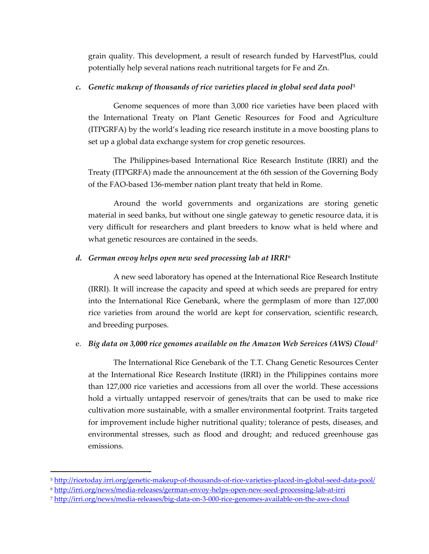grain quality. This development, a result of research funded by HarvestPlus, could potentially help several nations reach nutritional targets for Fe and Zn.

#### *c. Genetic makeup of thousands of rice varieties placed in global seed data pool[5](#page-5-0)*

Genome sequences of more than 3,000 rice varieties have been placed with the International Treaty on Plant Genetic Resources for Food and Agriculture (ITPGRFA) by the world's leading rice research institute in a move boosting plans to set up a global data exchange system for crop genetic resources.

The Philippines-based International Rice Research Institute (IRRI) and the Treaty (ITPGRFA) made the announcement at the 6th session of the Governing Body of the FAO-based 136-member nation plant treaty that held in Rome.

Around the world governments and organizations are storing genetic material in seed banks, but without one single gateway to genetic resource data, it is very difficult for researchers and plant breeders to know what is held where and what genetic resources are contained in the seeds.

#### *d. German envoy helps open new seed processing lab at IRRI[6](#page-5-1)*

A new seed laboratory has opened at the International Rice Research Institute (IRRI). It will increase the capacity and speed at which seeds are prepared for entry into the International Rice Genebank, where the germplasm of more than 127,000 rice varieties from around the world are kept for conservation, scientific research, and breeding purposes.

#### e. *Big data on 3,000 rice genomes available on the Amazon Web Services (AWS) Cloud[7](#page-5-2)*

The International Rice Genebank of the T.T. Chang Genetic Resources Center at the International Rice Research Institute (IRRI) in the Philippines contains more than 127,000 rice varieties and accessions from all over the world. These accessions hold a virtually untapped reservoir of genes/traits that can be used to make rice cultivation more sustainable, with a smaller environmental footprint. Traits targeted for improvement include higher nutritional quality; tolerance of pests, diseases, and environmental stresses, such as flood and drought; and reduced greenhouse gas emissions.

<span id="page-5-0"></span><sup>5</sup> <http://ricetoday.irri.org/genetic-makeup-of-thousands-of-rice-varieties-placed-in-global-seed-data-pool/>

<span id="page-5-1"></span><sup>6</sup> <http://irri.org/news/media-releases/german-envoy-helps-open-new-seed-processing-lab-at-irri>

<span id="page-5-2"></span><sup>7</sup> <http://irri.org/news/media-releases/big-data-on-3-000-rice-genomes-available-on-the-aws-cloud>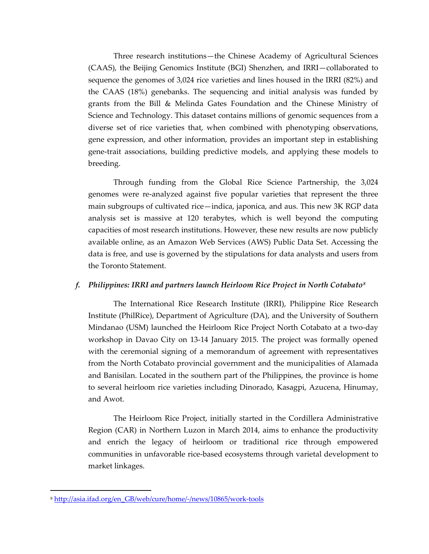Three research institutions—the Chinese Academy of Agricultural Sciences (CAAS), the Beijing Genomics Institute (BGI) Shenzhen, and IRRI—collaborated to sequence the genomes of 3,024 rice varieties and lines housed in the IRRI (82%) and the CAAS (18%) genebanks. The sequencing and initial analysis was funded by grants from the Bill & Melinda Gates Foundation and the Chinese Ministry of Science and Technology. This dataset contains millions of genomic sequences from a diverse set of rice varieties that, when combined with phenotyping observations, gene expression, and other information, provides an important step in establishing gene-trait associations, building predictive models, and applying these models to breeding.

Through funding from the Global Rice Science Partnership, the 3,024 genomes were re-analyzed against five popular varieties that represent the three main subgroups of cultivated rice—indica, japonica, and aus. This new 3K RGP data analysis set is massive at 120 terabytes, which is well beyond the computing capacities of most research institutions. However, these new results are now publicly available online, as an Amazon Web Services (AWS) Public Data Set. Accessing the data is free, and use is governed by the stipulations for data analysts and users from the Toronto Statement.

## *f. Philippines: IRRI and partners launch Heirloom Rice Project in North Cotabato[8](#page-6-0)*

The International Rice Research Institute (IRRI), Philippine Rice Research Institute (PhilRice), Department of Agriculture (DA), and the University of Southern Mindanao (USM) launched the Heirloom Rice Project North Cotabato at a two-day workshop in Davao City on 13-14 January 2015. The project was formally opened with the ceremonial signing of a memorandum of agreement with representatives from the North Cotabato provincial government and the municipalities of Alamada and Banisilan. Located in the southern part of the Philippines, the province is home to several heirloom rice varieties including Dinorado, Kasagpi, Azucena, Hinumay, and Awot.

The Heirloom Rice Project, initially started in the Cordillera Administrative Region (CAR) in Northern Luzon in March 2014, aims to enhance the productivity and enrich the legacy of heirloom or traditional rice through empowered communities in unfavorable rice-based ecosystems through varietal development to market linkages.

<span id="page-6-0"></span><sup>8</sup> [http://asia.ifad.org/en\\_GB/web/cure/home/-/news/10865/work-tools](http://asia.ifad.org/en_GB/web/cure/home/-/news/10865/work-tools)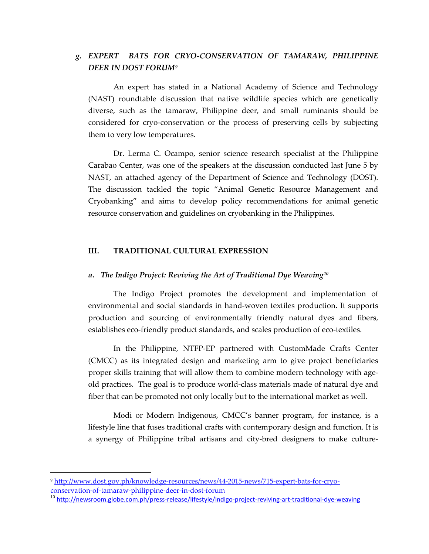## *g. EXPERT BATS FOR CRYO-CONSERVATION OF TAMARAW, PHILIPPINE DEER IN DOST FORUM[9](#page-7-0)*

An expert has stated in a National Academy of Science and Technology (NAST) roundtable discussion that native wildlife species which are genetically diverse, such as the tamaraw, Philippine deer, and small ruminants should be considered for cryo-conservation or the process of preserving cells by subjecting them to very low temperatures.

Dr. Lerma C. Ocampo, senior science research specialist at the Philippine Carabao Center, was one of the speakers at the discussion conducted last June 5 by NAST, an attached agency of the Department of Science and Technology (DOST). The discussion tackled the topic "Animal Genetic Resource Management and Cryobanking" and aims to develop policy recommendations for animal genetic resource conservation and guidelines on cryobanking in the Philippines.

## **III. TRADITIONAL CULTURAL EXPRESSION**

#### *a. The Indigo Project: Reviving the Art of Traditional Dye Weaving[10](#page-7-1)*

The Indigo Project promotes the development and implementation of environmental and social standards in hand-woven textiles production. It supports production and sourcing of environmentally friendly natural dyes and fibers, establishes eco-friendly product standards, and scales production of eco-textiles.

In the Philippine, NTFP-EP partnered with CustomMade Crafts Center (CMCC) as its integrated design and marketing arm to give project beneficiaries proper skills training that will allow them to combine modern technology with ageold practices. The goal is to produce world-class materials made of natural dye and fiber that can be promoted not only locally but to the international market as well.

Modi or Modern Indigenous, CMCC's banner program, for instance, is a lifestyle line that fuses traditional crafts with contemporary design and function. It is a synergy of Philippine tribal artisans and city-bred designers to make culture-

 $\overline{\phantom{a}}$ 

<span id="page-7-0"></span><sup>9</sup> [http://www.dost.gov.ph/knowledge-resources/news/44-2015-news/715-expert-bats-for-cryo](http://www.dost.gov.ph/knowledge-resources/news/44-2015-news/715-expert-bats-for-cryo-conservation-of-tamaraw-philippine-deer-in-dost-forum)[conservation-of-tamaraw-philippine-deer-in-dost-forum](http://www.dost.gov.ph/knowledge-resources/news/44-2015-news/715-expert-bats-for-cryo-conservation-of-tamaraw-philippine-deer-in-dost-forum)

<span id="page-7-1"></span><sup>&</sup>lt;sup>10</sup> <http://newsroom.globe.com.ph/press-release/lifestyle/indigo-project-reviving-art-traditional-dye-weaving>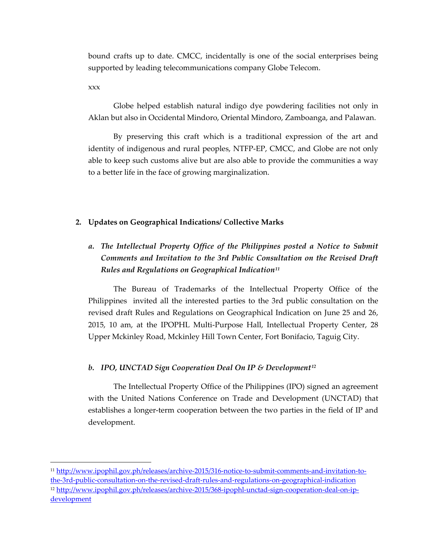bound crafts up to date. CMCC, incidentally is one of the social enterprises being supported by leading telecommunications company Globe Telecom.

xxx

l

Globe helped establish natural indigo dye powdering facilities not only in Aklan but also in Occidental Mindoro, Oriental Mindoro, Zamboanga, and Palawan.

By preserving this craft which is a traditional expression of the art and identity of indigenous and rural peoples, NTFP-EP, CMCC, and Globe are not only able to keep such customs alive but are also able to provide the communities a way to a better life in the face of growing marginalization.

## **2. Updates on Geographical Indications/ Collective Marks**

# *a. The Intellectual Property Office of the Philippines posted a Notice to Submit Comments and Invitation to the 3rd Public Consultation on the Revised Draft Rules and Regulations on Geographical Indication[11](#page-8-0)*

The Bureau of Trademarks of the Intellectual Property Office of the Philippines invited all the interested parties to the 3rd public consultation on the revised draft Rules and Regulations on Geographical Indication on June 25 and 26, 2015, 10 am, at the IPOPHL Multi-Purpose Hall, Intellectual Property Center, 28 Upper Mckinley Road, Mckinley Hill Town Center, Fort Bonifacio, Taguig City.

## *b. IPO, UNCTAD Sign Cooperation Deal On IP & Development[12](#page-8-1)*

The Intellectual Property Office of the Philippines (IPO) signed an agreement with the United Nations Conference on Trade and Development (UNCTAD) that establishes a longer-term cooperation between the two parties in the field of IP and development.

<span id="page-8-1"></span><span id="page-8-0"></span><sup>11</sup> [http://www.ipophil.gov.ph/releases/archive-2015/316-notice-to-submit-comments-and-invitation-to](http://www.ipophil.gov.ph/releases/archive-2015/316-notice-to-submit-comments-and-invitation-to-the-3rd-public-consultation-on-the-revised-draft-rules-and-regulations-on-geographical-indication)[the-3rd-public-consultation-on-the-revised-draft-rules-and-regulations-on-geographical-indication](http://www.ipophil.gov.ph/releases/archive-2015/316-notice-to-submit-comments-and-invitation-to-the-3rd-public-consultation-on-the-revised-draft-rules-and-regulations-on-geographical-indication) <sup>12</sup> [http://www.ipophil.gov.ph/releases/archive-2015/368-ipophl-unctad-sign-cooperation-deal-on-ip](http://www.ipophil.gov.ph/releases/archive-2015/368-ipophl-unctad-sign-cooperation-deal-on-ip-development)[development](http://www.ipophil.gov.ph/releases/archive-2015/368-ipophl-unctad-sign-cooperation-deal-on-ip-development)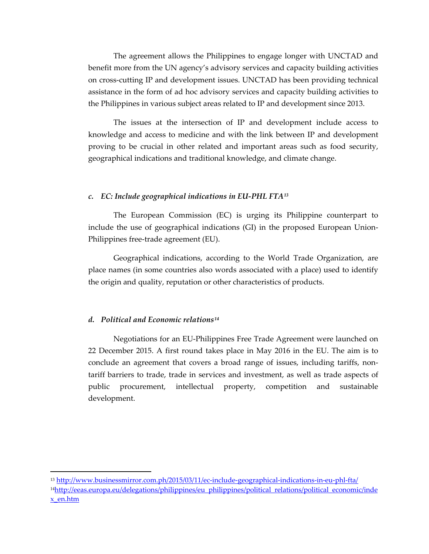The agreement allows the Philippines to engage longer with UNCTAD and benefit more from the UN agency's advisory services and capacity building activities on cross-cutting IP and development issues. UNCTAD has been providing technical assistance in the form of ad hoc advisory services and capacity building activities to the Philippines in various subject areas related to IP and development since 2013.

The issues at the intersection of IP and development include access to knowledge and access to medicine and with the link between IP and development proving to be crucial in other related and important areas such as food security, geographical indications and traditional knowledge, and climate change.

#### *c. EC: Include geographical indications in EU-PHL FTA[13](#page-9-0)*

The European Commission (EC) is urging its Philippine counterpart to include the use of geographical indications (GI) in the proposed European Union-Philippines free-trade agreement (EU).

Geographical indications, according to the World Trade Organization, are place names (in some countries also words associated with a place) used to identify the origin and quality, reputation or other characteristics of products.

#### *d. Political and Economic relations[14](#page-9-1)*

l

Negotiations for an EU-Philippines Free Trade Agreement were launched on 22 December 2015. A first round takes place in May 2016 in the EU. The aim is to conclude an agreement that covers a broad range of issues, including tariffs, nontariff barriers to trade, trade in services and investment, as well as trade aspects of public procurement, intellectual property, competition and sustainable development.

<span id="page-9-1"></span><span id="page-9-0"></span><sup>13</sup> <http://www.businessmirror.com.ph/2015/03/11/ec-include-geographical-indications-in-eu-phl-fta/> <sup>14</sup>http://eeas.europa.eu/delegations/philippines/eu\_philippines/political\_relations/political\_economic/inde [x\\_en.htm](http://eeas.europa.eu/delegations/philippines/eu_philippines/political_relations/political_economic/index_en.htm)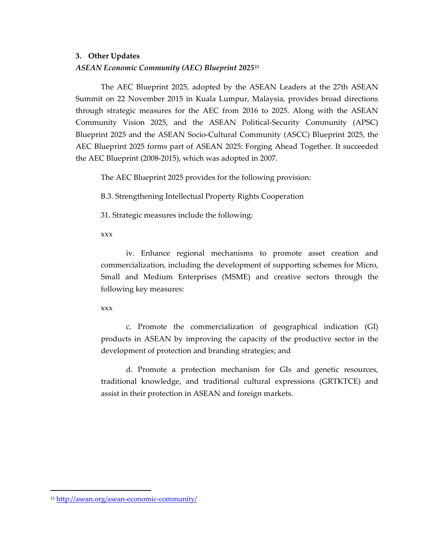## **3. Other Updates**

## *ASEAN Economic Community (AEC) Blueprint 2025[15](#page-10-0)*

The AEC Blueprint 2025, adopted by the ASEAN Leaders at the 27th ASEAN Summit on 22 November 2015 in Kuala Lumpur, Malaysia, provides broad directions through strategic measures for the AEC from 2016 to 2025. Along with the ASEAN Community Vision 2025, and the ASEAN Political-Security Community (APSC) Blueprint 2025 and the ASEAN Socio-Cultural Community (ASCC) Blueprint 2025, the AEC Blueprint 2025 forms part of ASEAN 2025: Forging Ahead Together. It succeeded the AEC Blueprint (2008-2015), which was adopted in 2007.

The AEC Blueprint 2025 provides for the following provision:

B.3. Strengthening Intellectual Property Rights Cooperation

31. Strategic measures include the following:

xxx

iv. Enhance regional mechanisms to promote asset creation and commercialization, including the development of supporting schemes for Micro, Small and Medium Enterprises (MSME) and creative sectors through the following key measures:

xxx

c. Promote the commercialization of geographical indication (GI) products in ASEAN by improving the capacity of the productive sector in the development of protection and branding strategies; and

d. Promote a protection mechanism for GIs and genetic resources, traditional knowledge, and traditional cultural expressions (GRTKTCE) and assist in their protection in ASEAN and foreign markets.

<span id="page-10-0"></span><sup>15</sup> <http://asean.org/asean-economic-community/>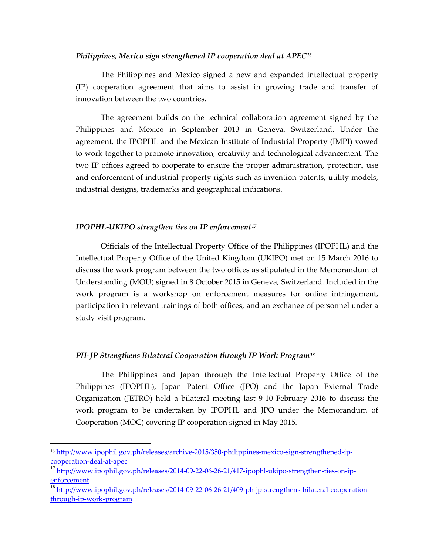#### *Philippines, Mexico sign strengthened IP cooperation deal at APEC[16](#page-11-0)*

The Philippines and Mexico signed a new and expanded intellectual property (IP) cooperation agreement that aims to assist in growing trade and transfer of innovation between the two countries.

The agreement builds on the technical collaboration agreement signed by the Philippines and Mexico in September 2013 in Geneva, Switzerland. Under the agreement, the IPOPHL and the Mexican Institute of Industrial Property (IMPI) vowed to work together to promote innovation, creativity and technological advancement. The two IP offices agreed to cooperate to ensure the proper administration, protection, use and enforcement of industrial property rights such as invention patents, utility models, industrial designs, trademarks and geographical indications.

#### *IPOPHL-UKIPO strengthen ties on IP enforcement[17](#page-11-1)*

Officials of the Intellectual Property Office of the Philippines (IPOPHL) and the Intellectual Property Office of the United Kingdom (UKIPO) met on 15 March 2016 to discuss the work program between the two offices as stipulated in the Memorandum of Understanding (MOU) signed in 8 October 2015 in Geneva, Switzerland. Included in the work program is a workshop on enforcement measures for online infringement, participation in relevant trainings of both offices, and an exchange of personnel under a study visit program.

## *PH-JP Strengthens Bilateral Cooperation through IP Work Program[18](#page-11-2)*

The Philippines and Japan through the Intellectual Property Office of the Philippines (IPOPHL), Japan Patent Office (JPO) and the Japan External Trade Organization (JETRO) held a bilateral meeting last 9-10 February 2016 to discuss the work program to be undertaken by IPOPHL and JPO under the Memorandum of Cooperation (MOC) covering IP cooperation signed in May 2015.

<span id="page-11-0"></span><sup>16</sup> [http://www.ipophil.gov.ph/releases/archive-2015/350-philippines-mexico-sign-strengthened-ip](http://www.ipophil.gov.ph/releases/archive-2015/350-philippines-mexico-sign-strengthened-ip-cooperation-deal-at-apec)[cooperation-deal-at-apec](http://www.ipophil.gov.ph/releases/archive-2015/350-philippines-mexico-sign-strengthened-ip-cooperation-deal-at-apec)

<span id="page-11-1"></span><sup>&</sup>lt;sup>17</sup> [http://www.ipophil.gov.ph/releases/2014-09-22-06-26-21/417-ipophl-ukipo-strengthen-ties-on-ip](http://www.ipophil.gov.ph/releases/2014-09-22-06-26-21/417-ipophl-ukipo-strengthen-ties-on-ip-enforcement)[enforcement](http://www.ipophil.gov.ph/releases/2014-09-22-06-26-21/417-ipophl-ukipo-strengthen-ties-on-ip-enforcement)

<span id="page-11-2"></span><sup>&</sup>lt;sup>18</sup> [http://www.ipophil.gov.ph/releases/2014-09-22-06-26-21/409-ph-jp-strengthens-bilateral-cooperation](http://www.ipophil.gov.ph/releases/2014-09-22-06-26-21/409-ph-jp-strengthens-bilateral-cooperation-through-ip-work-program)[through-ip-work-program](http://www.ipophil.gov.ph/releases/2014-09-22-06-26-21/409-ph-jp-strengthens-bilateral-cooperation-through-ip-work-program)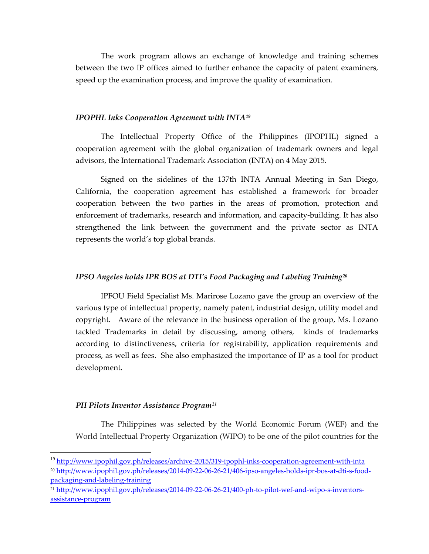The work program allows an exchange of knowledge and training schemes between the two IP offices aimed to further enhance the capacity of patent examiners, speed up the examination process, and improve the quality of examination.

#### *IPOPHL Inks Cooperation Agreement with INTA[19](#page-12-0)*

The Intellectual Property Office of the Philippines (IPOPHL) signed a cooperation agreement with the global organization of trademark owners and legal advisors, the International Trademark Association (INTA) on 4 May 2015.

Signed on the sidelines of the 137th INTA Annual Meeting in San Diego, California, the cooperation agreement has established a framework for broader cooperation between the two parties in the areas of promotion, protection and enforcement of trademarks, research and information, and capacity-building. It has also strengthened the link between the government and the private sector as INTA represents the world's top global brands.

#### *IPSO Angeles holds IPR BOS at DTI's Food Packaging and Labeling Training[20](#page-12-1)*

IPFOU Field Specialist Ms. Marirose Lozano gave the group an overview of the various type of intellectual property, namely patent, industrial design, utility model and copyright. Aware of the relevance in the business operation of the group, Ms. Lozano tackled Trademarks in detail by discussing, among others, kinds of trademarks according to distinctiveness, criteria for registrability, application requirements and process, as well as fees. She also emphasized the importance of IP as a tool for product development.

#### *PH Pilots Inventor Assistance Program[21](#page-12-2)*

The Philippines was selected by the World Economic Forum (WEF) and the World Intellectual Property Organization (WIPO) to be one of the pilot countries for the

<span id="page-12-0"></span><sup>&</sup>lt;sup>19</sup> <http://www.ipophil.gov.ph/releases/archive-2015/319-ipophl-inks-cooperation-agreement-with-inta>

<span id="page-12-1"></span><sup>20</sup> [http://www.ipophil.gov.ph/releases/2014-09-22-06-26-21/406-ipso-angeles-holds-ipr-bos-at-dti-s-food](http://www.ipophil.gov.ph/releases/2014-09-22-06-26-21/406-ipso-angeles-holds-ipr-bos-at-dti-s-food-packaging-and-labeling-training)[packaging-and-labeling-training](http://www.ipophil.gov.ph/releases/2014-09-22-06-26-21/406-ipso-angeles-holds-ipr-bos-at-dti-s-food-packaging-and-labeling-training)

<span id="page-12-2"></span><sup>21</sup> [http://www.ipophil.gov.ph/releases/2014-09-22-06-26-21/400-ph-to-pilot-wef-and-wipo-s-inventors](http://www.ipophil.gov.ph/releases/2014-09-22-06-26-21/400-ph-to-pilot-wef-and-wipo-s-inventors-assistance-program)[assistance-program](http://www.ipophil.gov.ph/releases/2014-09-22-06-26-21/400-ph-to-pilot-wef-and-wipo-s-inventors-assistance-program)